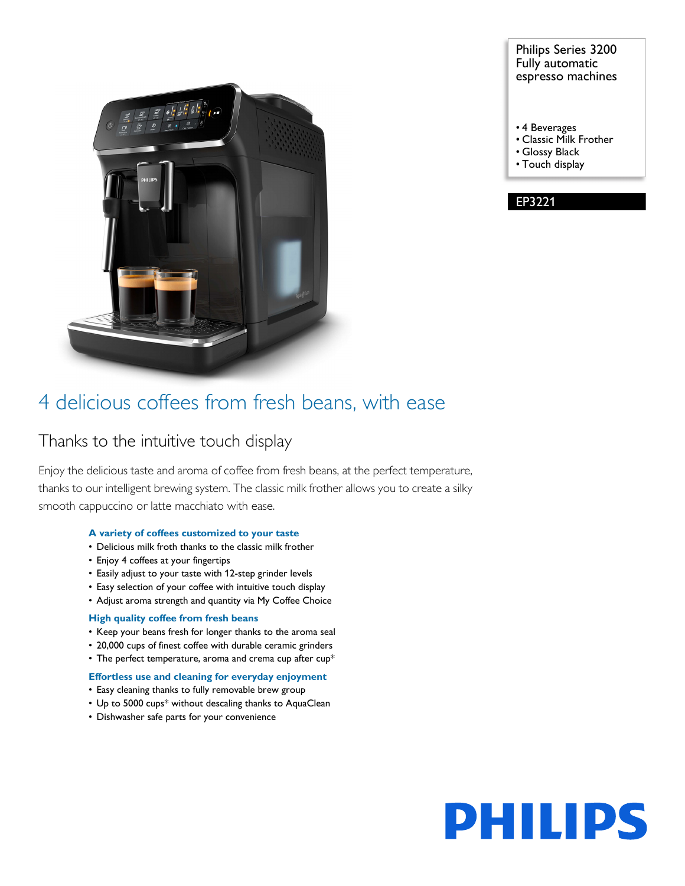

#### Philips Series 3200 Fully automatic espresso machines

- 4 Beverages
- Classic Milk Frother
- Glossy Black
- Touch display

EP3221

### 4 delicious coffees from fresh beans, with ease

### Thanks to the intuitive touch display

Enjoy the delicious taste and aroma of coffee from fresh beans, at the perfect temperature, thanks to our intelligent brewing system. The classic milk frother allows you to create a silky smooth cappuccino or latte macchiato with ease.

#### **A variety of coffees customized to your taste**

- Delicious milk froth thanks to the classic milk frother
- Enjoy 4 coffees at your fingertips
- Easily adjust to your taste with 12-step grinder levels
- Easy selection of your coffee with intuitive touch display
- Adjust aroma strength and quantity via My Coffee Choice

#### **High quality coffee from fresh beans**

- Keep your beans fresh for longer thanks to the aroma seal
- 20,000 cups of finest coffee with durable ceramic grinders
- The perfect temperature, aroma and crema cup after cup\*

#### **Effortless use and cleaning for everyday enjoyment**

- Easy cleaning thanks to fully removable brew group
- Up to 5000 cups\* without descaling thanks to AquaClean
- Dishwasher safe parts for your convenience

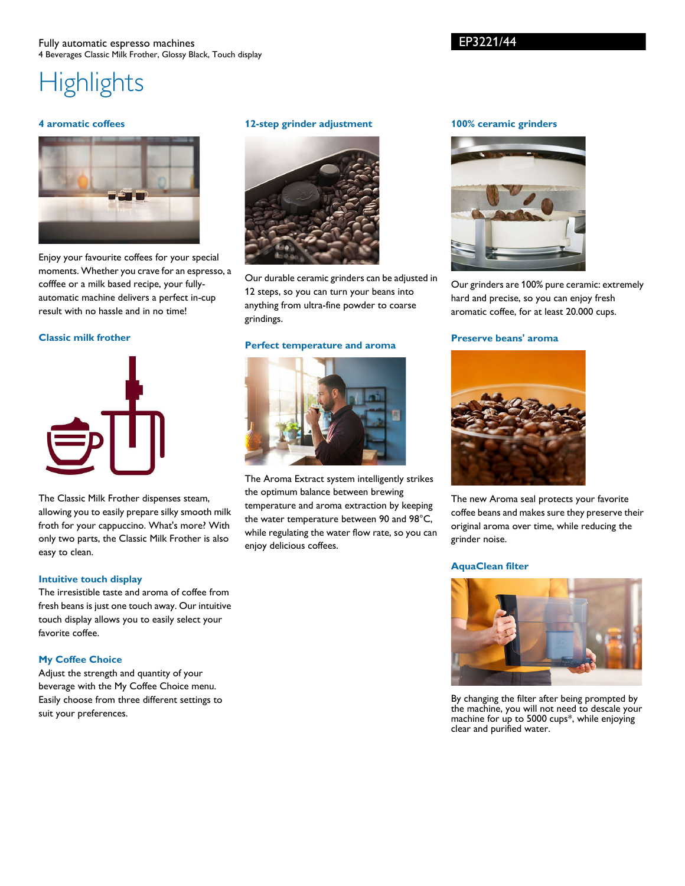#### Fully automatic espresso machines 4 Beverages Classic Milk Frother, Glossy Black, Touch display

# **Highlights**

#### **4 aromatic coffees**



Enjoy your favourite coffees for your special moments. Whether you crave for an espresso, a cofffee or a milk based recipe, your fullyautomatic machine delivers a perfect in-cup result with no hassle and in no time!

#### **Classic milk frother**



The Classic Milk Frother dispenses steam, allowing you to easily prepare silky smooth milk froth for your cappuccino. What's more? With only two parts, the Classic Milk Frother is also easy to clean.

#### **Intuitive touch display**

The irresistible taste and aroma of coffee from fresh beans is just one touch away. Our intuitive touch display allows you to easily select your favorite coffee.

#### **My Coffee Choice**

Adjust the strength and quantity of your beverage with the My Coffee Choice menu. Easily choose from three different settings to suit your preferences.

#### **12-step grinder adjustment**



Our durable ceramic grinders can be adjusted in 12 steps, so you can turn your beans into anything from ultra-fine powder to coarse grindings.

#### **Perfect temperature and aroma**



The Aroma Extract system intelligently strikes the optimum balance between brewing temperature and aroma extraction by keeping the water temperature between 90 and 98°C, while regulating the water flow rate, so you can enjoy delicious coffees.

#### **100% ceramic grinders**



Our grinders are 100% pure ceramic: extremely hard and precise, so you can enjoy fresh aromatic coffee, for at least 20.000 cups.

#### **Preserve beans' aroma**



The new Aroma seal protects your favorite coffee beans and makes sure they preserve their original aroma over time, while reducing the grinder noise.

#### **AquaClean filter**



By changing the filter after being prompted by the machine, you will not need to descale your machine for up to 5000 cups\*, while enjoying clear and purified water.

#### EP3221/44